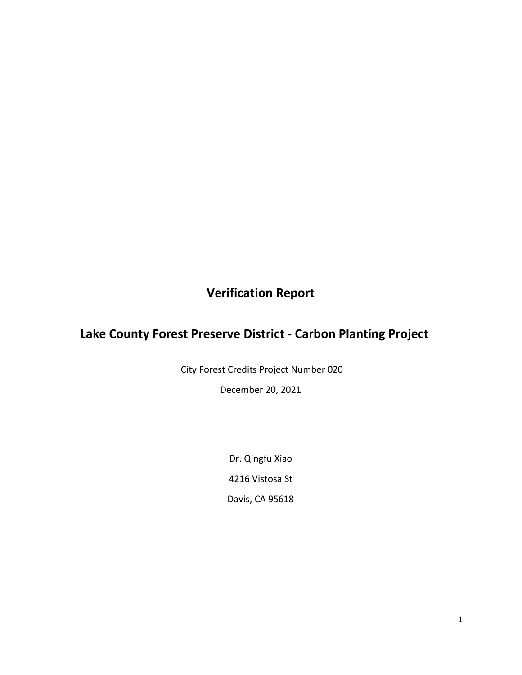# **Verification Report**

# **Lake County Forest Preserve District - Carbon Planting Project**

City Forest Credits Project Number 020

December 20, 2021

Dr. Qingfu Xiao 4216 Vistosa St Davis, CA 95618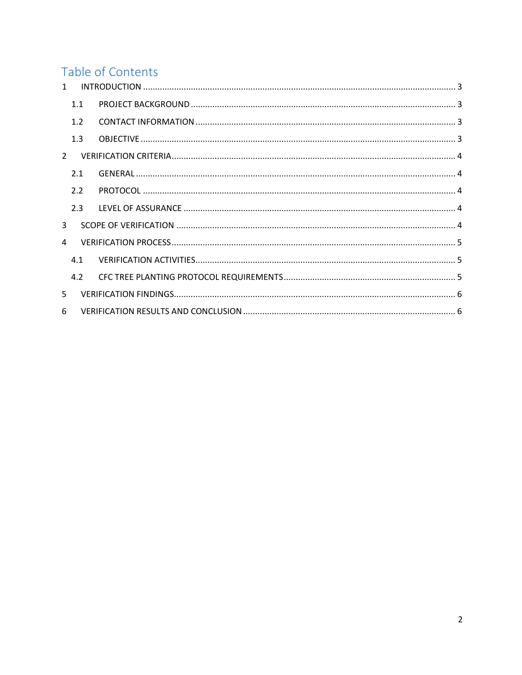# Table of Contents

| $\mathbf{1}$  |     |  |  |  |  |  |
|---------------|-----|--|--|--|--|--|
|               | 1.1 |  |  |  |  |  |
|               | 1.2 |  |  |  |  |  |
|               | 1.3 |  |  |  |  |  |
| $\mathcal{L}$ |     |  |  |  |  |  |
|               | 2.1 |  |  |  |  |  |
|               | 2.2 |  |  |  |  |  |
|               | 2.3 |  |  |  |  |  |
| $\mathbf{R}$  |     |  |  |  |  |  |
| 4             |     |  |  |  |  |  |
|               | 4.1 |  |  |  |  |  |
|               | 4.2 |  |  |  |  |  |
| 5             |     |  |  |  |  |  |
| 6             |     |  |  |  |  |  |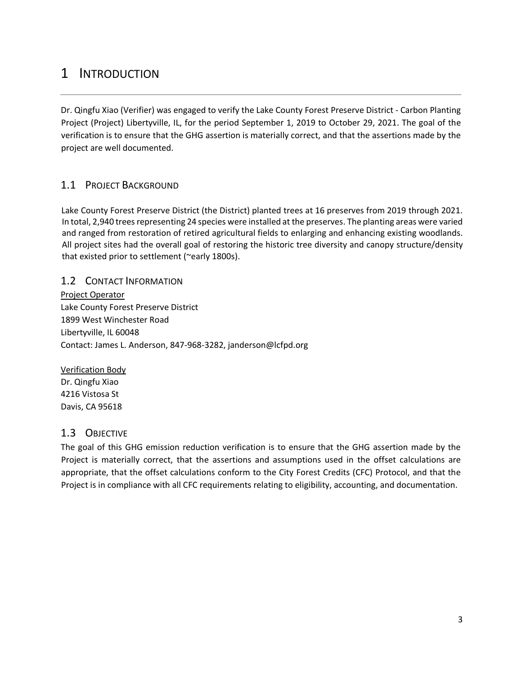# <span id="page-2-0"></span>1 INTRODUCTION

Dr. Qingfu Xiao (Verifier) was engaged to verify the Lake County Forest Preserve District - Carbon Planting Project (Project) Libertyville, IL, for the period September 1, 2019 to October 29, 2021. The goal of the verification is to ensure that the GHG assertion is materially correct, and that the assertions made by the project are well documented.

### <span id="page-2-1"></span>1.1 PROJECT BACKGROUND

Lake County Forest Preserve District (the District) planted trees at 16 preserves from 2019 through 2021. In total, 2,940 trees representing 24 species were installed at the preserves. The planting areas were varied and ranged from restoration of retired agricultural fields to enlarging and enhancing existing woodlands. All project sites had the overall goal of restoring the historic tree diversity and canopy structure/density that existed prior to settlement (~early 1800s).

#### <span id="page-2-2"></span>1.2 CONTACT INFORMATION

Project Operator Lake County Forest Preserve District 1899 West Winchester Road Libertyville, IL 60048 Contact: James L. Anderson, 847-968-3282, janderson@lcfpd.org

#### Verification Body Dr. Qingfu Xiao 4216 Vistosa St Davis, CA 95618

### <span id="page-2-3"></span>1.3 OBJECTIVE

<span id="page-2-4"></span>The goal of this GHG emission reduction verification is to ensure that the GHG assertion made by the Project is materially correct, that the assertions and assumptions used in the offset calculations are appropriate, that the offset calculations conform to the City Forest Credits (CFC) Protocol, and that the Project is in compliance with all CFC requirements relating to eligibility, accounting, and documentation.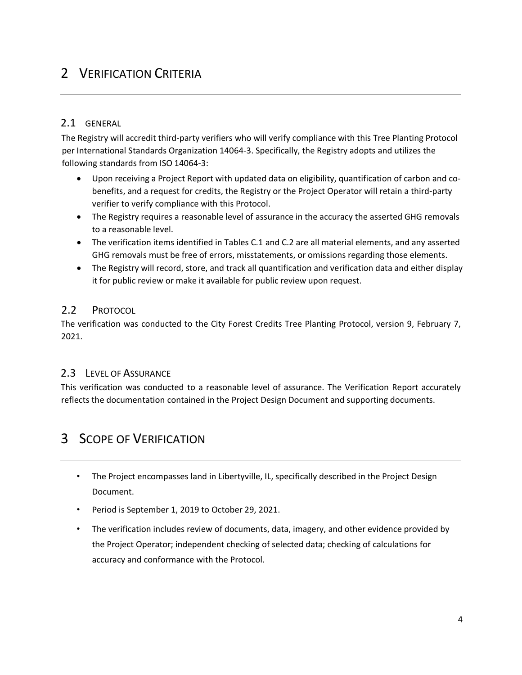# 2 VERIFICATION CRITERIA

#### <span id="page-3-0"></span>2.1 GENERAL

The Registry will accredit third-party verifiers who will verify compliance with this Tree Planting Protocol per International Standards Organization 14064-3. Specifically, the Registry adopts and utilizes the following standards from ISO 14064-3:

- Upon receiving a Project Report with updated data on eligibility, quantification of carbon and cobenefits, and a request for credits, the Registry or the Project Operator will retain a third-party verifier to verify compliance with this Protocol.
- The Registry requires a reasonable level of assurance in the accuracy the asserted GHG removals to a reasonable level.
- The verification items identified in Tables C.1 and C.2 are all material elements, and any asserted GHG removals must be free of errors, misstatements, or omissions regarding those elements.
- The Registry will record, store, and track all quantification and verification data and either display it for public review or make it available for public review upon request.

#### <span id="page-3-1"></span>2.2 PROTOCOL

The verification was conducted to the City Forest Credits Tree Planting Protocol, version 9, February 7, 2021.

#### <span id="page-3-2"></span>2.3 LEVEL OF ASSURANCE

This verification was conducted to a reasonable level of assurance. The Verification Report accurately reflects the documentation contained in the Project Design Document and supporting documents.

### <span id="page-3-3"></span>3 SCOPE OF VERIFICATION

- The Project encompasses land in Libertyville, IL, specifically described in the Project Design Document.
- Period is September 1, 2019 to October 29, 2021.
- The verification includes review of documents, data, imagery, and other evidence provided by the Project Operator; independent checking of selected data; checking of calculations for accuracy and conformance with the Protocol.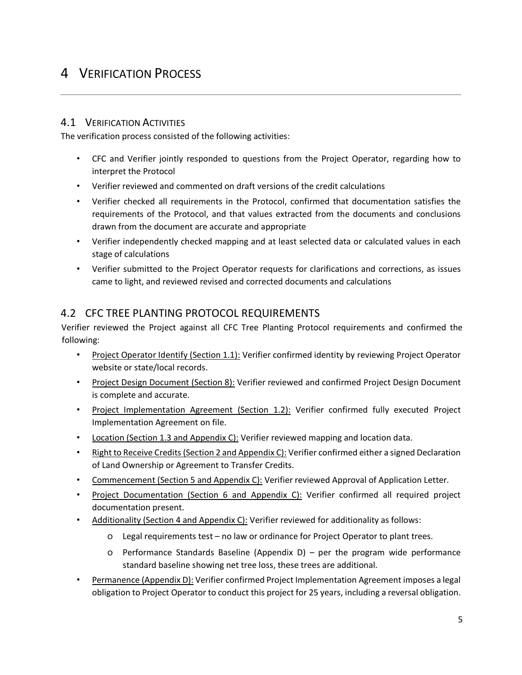# <span id="page-4-0"></span>4 VERIFICATION PROCESS

#### <span id="page-4-1"></span>4.1 VERIFICATION ACTIVITIES

The verification process consisted of the following activities:

- CFC and Verifier jointly responded to questions from the Project Operator, regarding how to interpret the Protocol
- Verifier reviewed and commented on draft versions of the credit calculations
- Verifier checked all requirements in the Protocol, confirmed that documentation satisfies the requirements of the Protocol, and that values extracted from the documents and conclusions drawn from the document are accurate and appropriate
- Verifier independently checked mapping and at least selected data or calculated values in each stage of calculations
- Verifier submitted to the Project Operator requests for clarifications and corrections, as issues came to light, and reviewed revised and corrected documents and calculations

### <span id="page-4-2"></span>4.2 CFC TREE PLANTING PROTOCOL REQUIREMENTS

Verifier reviewed the Project against all CFC Tree Planting Protocol requirements and confirmed the following:

- Project Operator Identify (Section 1.1): Verifier confirmed identity by reviewing Project Operator website or state/local records.
- Project Design Document (Section 8): Verifier reviewed and confirmed Project Design Document is complete and accurate.
- Project Implementation Agreement (Section 1.2): Verifier confirmed fully executed Project Implementation Agreement on file.
- Location (Section 1.3 and Appendix C): Verifier reviewed mapping and location data.
- Right to Receive Credits (Section 2 and Appendix C): Verifier confirmed either a signed Declaration of Land Ownership or Agreement to Transfer Credits.
- Commencement (Section 5 and Appendix C): Verifier reviewed Approval of Application Letter.
- Project Documentation (Section 6 and Appendix C): Verifier confirmed all required project documentation present.
- Additionality (Section 4 and Appendix C): Verifier reviewed for additionality as follows:
	- o Legal requirements test no law or ordinance for Project Operator to plant trees.
	- o Performance Standards Baseline (Appendix D) per the program wide performance standard baseline showing net tree loss, these trees are additional.
- Permanence (Appendix D): Verifier confirmed Project Implementation Agreement imposes a legal obligation to Project Operator to conduct this project for 25 years, including a reversal obligation.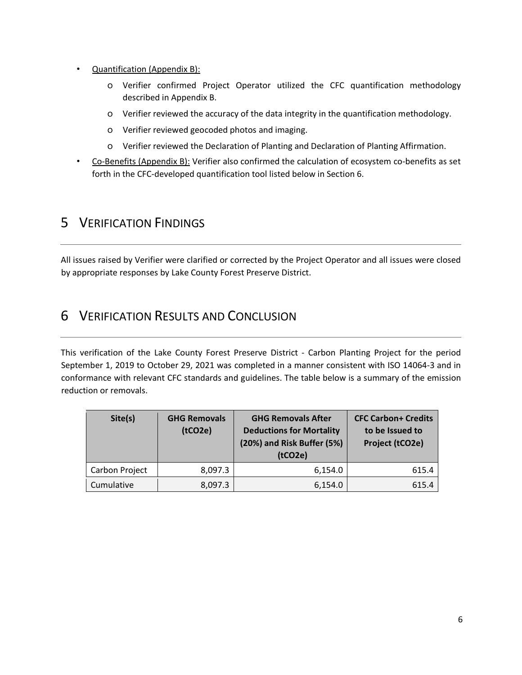- Quantification (Appendix B):
	- o Verifier confirmed Project Operator utilized the CFC quantification methodology described in Appendix B.
	- o Verifier reviewed the accuracy of the data integrity in the quantification methodology.
	- o Verifier reviewed geocoded photos and imaging.
	- o Verifier reviewed the Declaration of Planting and Declaration of Planting Affirmation.
- Co-Benefits (Appendix B): Verifier also confirmed the calculation of ecosystem co-benefits as set forth in the CFC-developed quantification tool listed below in Section 6.

### <span id="page-5-0"></span>5 VERIFICATION FINDINGS

All issues raised by Verifier were clarified or corrected by the Project Operator and all issues were closed by appropriate responses by Lake County Forest Preserve District.

### <span id="page-5-1"></span>6 VERIFICATION RESULTS AND CONCLUSION

This verification of the Lake County Forest Preserve District - Carbon Planting Project for the period September 1, 2019 to October 29, 2021 was completed in a manner consistent with ISO 14064-3 and in conformance with relevant CFC standards and guidelines. The table below is a summary of the emission reduction or removals.

| Site(s)        | <b>GHG Removals</b><br>(tCO2e) | <b>GHG Removals After</b><br><b>Deductions for Mortality</b><br>(20%) and Risk Buffer (5%)<br>(tCO2e) | <b>CFC Carbon+ Credits</b><br>to be Issued to<br>Project (tCO2e) |
|----------------|--------------------------------|-------------------------------------------------------------------------------------------------------|------------------------------------------------------------------|
| Carbon Project | 8,097.3                        | 6,154.0                                                                                               | 615.4                                                            |
| Cumulative     | 8,097.3                        | 6,154.0                                                                                               | 615.4                                                            |